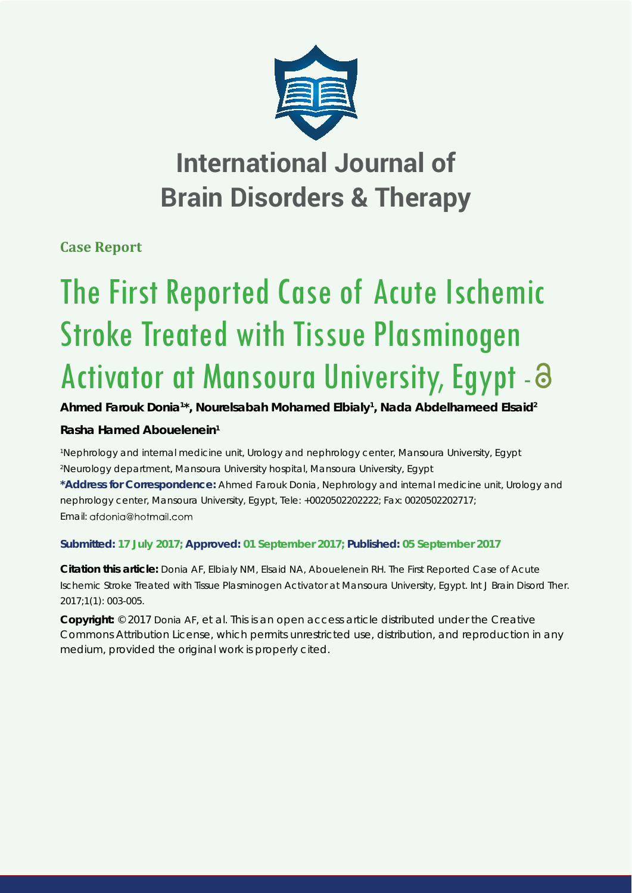

# **International Journal of Brain Disorders & Therapy**

**Case Report**

# The First Reported Case of Acute Ischemic Stroke Treated with Tissue Plasminogen Activator at Mansoura University, Egypt - 8

# **Ahmed Farouk Donia1 \*, Nourelsabah Mohamed Elbialy1 , Nada Abdelhameed Elsaid2**

# **Rasha Hamed Abouelenein1**

*1 Nephrology and internal medicine unit, Urology and nephrology center, Mansoura University, Egypt 2 Neurology department, Mansoura University hospital, Mansoura University, Egypt*

**\*Address for Correspondence:** Ahmed Farouk Donia, Nephrology and internal medicine unit, Urology and nephrology center, Mansoura University, Egypt, Tele: +0020502202222; Fax: 0020502202717; Email: gfdonig@hotmgil.com

### **Submitted: 17 July 2017; Approved: 01 September 2017; Published: 05 September 2017**

**Citation this article:** Donia AF, Elbialy NM, Elsaid NA, Abouelenein RH. The First Reported Case of Acute Ischemic Stroke Treated with Tissue Plasminogen Activator at Mansoura University, Egypt. Int J Brain Disord Ther. 2017;1(1): 003-005.

**Copyright:** © 2017 Donia AF, et al. This is an open access article distributed under the Creative Commons Attribution License, which permits unrestricted use, distribution, and reproduction in any medium, provided the original work is properly cited.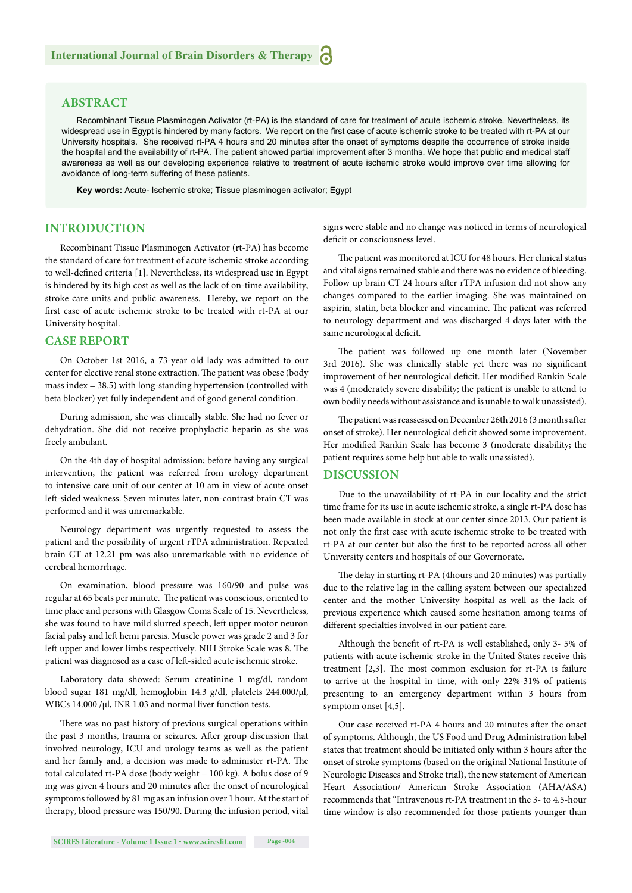#### **ABSTRACT**

Recombinant Tissue Plasminogen Activator (rt-PA) is the standard of care for treatment of acute ischemic stroke. Nevertheless, its widespread use in Egypt is hindered by many factors. We report on the first case of acute ischemic stroke to be treated with rt-PA at our University hospitals. She received rt-PA 4 hours and 20 minutes after the onset of symptoms despite the occurrence of stroke inside the hospital and the availability of rt-PA. The patient showed partial improvement after 3 months. We hope that public and medical staff awareness as well as our developing experience relative to treatment of acute ischemic stroke would improve over time allowing for avoidance of long-term suffering of these patients.

**Key words:** Acute- Ischemic stroke; Tissue plasminogen activator; Egypt

#### **INTRODUCTION**

Recombinant Tissue Plasminogen Activator (rt-PA) has become the standard of care for treatment of acute ischemic stroke according to well-defined criteria [1]. Nevertheless, its widespread use in Egypt is hindered by its high cost as well as the lack of on-time availability, stroke care units and public awareness. Hereby, we report on the first case of acute ischemic stroke to be treated with rt-PA at our University hospital.

#### **CASE REPORT**

On October 1st 2016, a 73-year old lady was admitted to our center for elective renal stone extraction. The patient was obese (body mass index = 38.5) with long-standing hypertension (controlled with beta blocker) yet fully independent and of good general condition.

During admission, she was clinically stable. She had no fever or dehydration. She did not receive prophylactic heparin as she was freely ambulant.

On the 4th day of hospital admission; before having any surgical intervention, the patient was referred from urology department to intensive care unit of our center at 10 am in view of acute onset left -sided weakness. Seven minutes later, non-contrast brain CT was performed and it was unremarkable.

Neurology department was urgently requested to assess the patient and the possibility of urgent rTPA administration. Repeated brain CT at 12.21 pm was also unremarkable with no evidence of cerebral hemorrhage.

On examination, blood pressure was 160/90 and pulse was regular at 65 beats per minute. The patient was conscious, oriented to time place and persons with Glasgow Coma Scale of 15. Nevertheless, she was found to have mild slurred speech, left upper motor neuron facial palsy and left hemi paresis. Muscle power was grade 2 and 3 for left upper and lower limbs respectively. NIH Stroke Scale was 8. The patient was diagnosed as a case of left -sided acute ischemic stroke.

Laboratory data showed: Serum creatinine 1 mg/dl, random blood sugar 181 mg/dl, hemoglobin 14.3 g/dl, platelets 244.000/μl, WBCs 14.000 /μl, INR 1.03 and normal liver function tests.

There was no past history of previous surgical operations within the past 3 months, trauma or seizures. After group discussion that involved neurology, ICU and urology teams as well as the patient and her family and, a decision was made to administer rt-PA. The total calculated rt-PA dose (body weight = 100 kg). A bolus dose of 9 mg was given 4 hours and 20 minutes after the onset of neurological symptoms followed by 81 mg as an infusion over 1 hour. At the start of therapy, blood pressure was 150/90. During the infusion period, vital signs were stable and no change was noticed in terms of neurological deficit or consciousness level.

The patient was monitored at ICU for 48 hours. Her clinical status and vital signs remained stable and there was no evidence of bleeding. Follow up brain CT 24 hours after rTPA infusion did not show any changes compared to the earlier imaging. She was maintained on aspirin, statin, beta blocker and vincamine. The patient was referred to neurology department and was discharged 4 days later with the same neurological deficit.

The patient was followed up one month later (November 3rd 2016). She was clinically stable yet there was no significant improvement of her neurological deficit. Her modified Rankin Scale was 4 (moderately severe disability; the patient is unable to attend to own bodily needs without assistance and is unable to walk unassisted).

The patient was reassessed on December 26th 2016 (3 months after onset of stroke). Her neurological deficit showed some improvement. Her modified Rankin Scale has become 3 (moderate disability; the patient requires some help but able to walk unassisted).

#### **DISCUSSION**

Due to the unavailability of rt-PA in our locality and the strict time frame for its use in acute ischemic stroke, a single rt-PA dose has been made available in stock at our center since 2013. Our patient is not only the first case with acute ischemic stroke to be treated with rt-PA at our center but also the first to be reported across all other University centers and hospitals of our Governorate.

The delay in starting rt-PA (4hours and 20 minutes) was partially due to the relative lag in the calling system between our specialized center and the mother University hospital as well as the lack of previous experience which caused some hesitation among teams of different specialties involved in our patient care.

Although the benefit of rt-PA is well established, only 3- 5% of patients with acute ischemic stroke in the United States receive this treatment  $[2,3]$ . The most common exclusion for  $rt$ -PA is failure to arrive at the hospital in time, with only 22%-31% of patients presenting to an emergency department within 3 hours from symptom onset [4,5].

Our case received rt-PA 4 hours and 20 minutes after the onset of symptoms. Although, the US Food and Drug Administration label states that treatment should be initiated only within 3 hours after the onset of stroke symptoms (based on the original National Institute of Neurologic Diseases and Stroke trial), the new statement of American Heart Association/ American Stroke Association (AHA/ASA) recommends that "Intravenous rt-PA treatment in the 3- to 4.5-hour time window is also recommended for those patients younger than